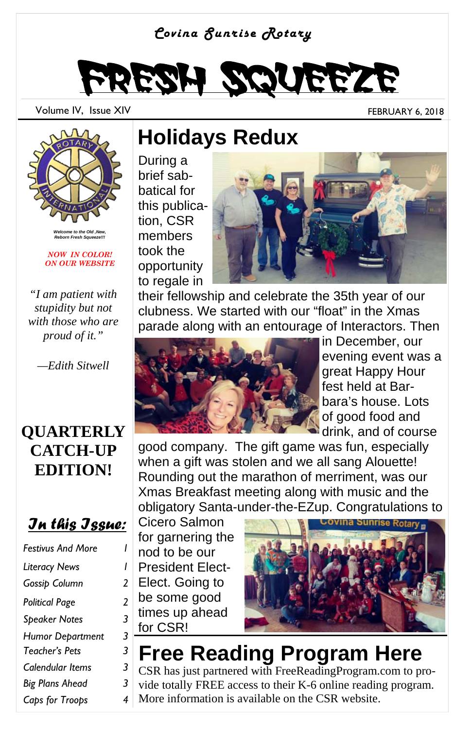#### *Covina Sunrise Rotary*



Volume IV, Issue XIV FEBRUARY 6, 2018



*Welcome to the Old ,New, Reborn Fresh Squeeze!!!* 

*NOW IN COLOR! ON OUR WEBSITE* 

*"I am patient with stupidity but not with those who are proud of it."* 

*—Edith Sitwell* 

#### **QUARTERLY CATCH-UP EDITION!**

#### *In this Issue:*

| <b>Festivus And More</b> |   |
|--------------------------|---|
| <b>Literacy News</b>     | ı |
| Gossip Column            | 2 |
| Political Page           | 2 |
| <b>Speaker Notes</b>     | 3 |
| <b>Humor Department</b>  | 3 |
| Teacher's Pets           | 3 |
| Calendular Items         | 3 |
| <b>Big Plans Ahead</b>   | 3 |
| Caps for Troops          | 4 |

### **Holidays Redux**

During a brief sabbatical for this publication, CSR members took the opportunity to regale in



their fellowship and celebrate the 35th year of our clubness. We started with our "float" in the Xmas parade along with an entourage of Interactors. Then



in December, our evening event was a great Happy Hour fest held at Barbara's house. Lots of good food and drink, and of course

good company. The gift game was fun, especially when a gift was stolen and we all sang Alouette! Rounding out the marathon of merriment, was our Xmas Breakfast meeting along with music and the obligatory Santa-under-the-EZup. Congratulations to

Cicero Salmon for garnering the nod to be our President Elect-Elect. Going to be some good times up ahead for CSR!



## **Free Reading Program Here**

CSR has just partnered with FreeReadingProgram.com to provide totally FREE access to their K-6 online reading program. More information is available on the CSR website.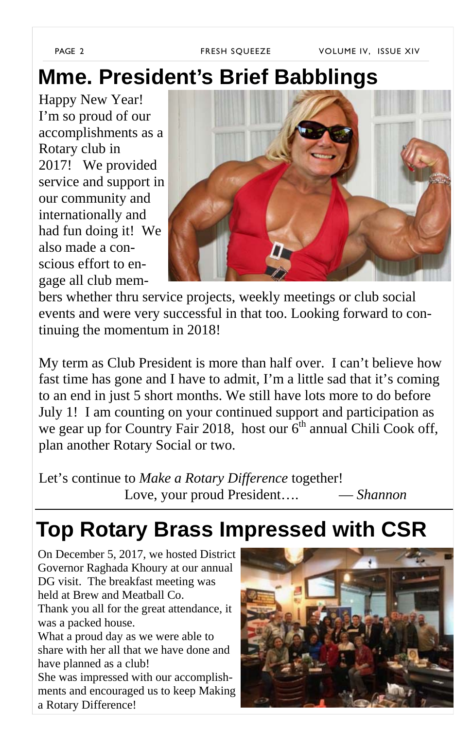PAGE 2 FRESH SQUEEZE VOLUME IV, ISSUE XIV

## **Mme. President's Brief Babblings**

Happy New Year! I'm so proud of our accomplishments as a Rotary club in 2017! We provided service and support in our community and internationally and had fun doing it! We also made a conscious effort to engage all club mem-



bers whether thru service projects, weekly meetings or club social events and were very successful in that too. Looking forward to continuing the momentum in 2018!

My term as Club President is more than half over. I can't believe how fast time has gone and I have to admit, I'm a little sad that it's coming to an end in just 5 short months. We still have lots more to do before July 1! I am counting on your continued support and participation as we gear up for Country Fair 2018, host our  $6<sup>th</sup>$  annual Chili Cook off, plan another Rotary Social or two.

Let's continue to *Make a Rotary Difference* together! Love, your proud President…. — *Shannon*

## **Top Rotary Brass Impressed with CSR**

On December 5, 2017, we hosted District Governor Raghada Khoury at our annual DG visit. The breakfast meeting was held at Brew and Meatball Co. Thank you all for the great attendance, it

was a packed house.

What a proud day as we were able to share with her all that we have done and have planned as a club!

She was impressed with our accomplishments and encouraged us to keep Making a Rotary Difference!

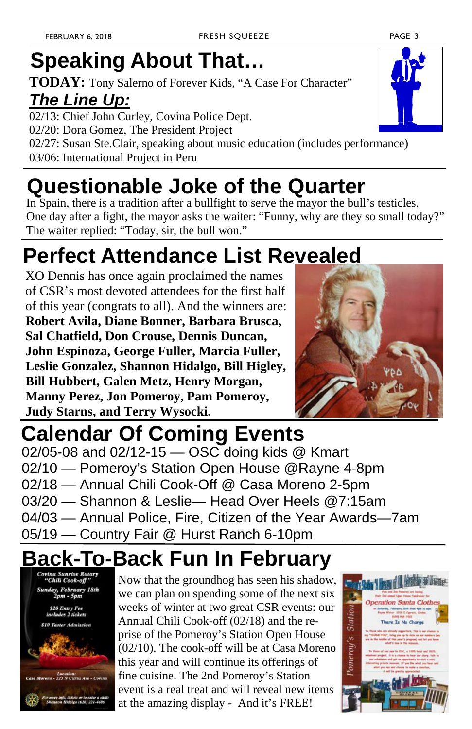# **Speaking About That…**

**TODAY:** Tony Salerno of Forever Kids, "A Case For Character" *The Line Up:*

02/13: Chief John Curley, Covina Police Dept. 02/20: Dora Gomez, The President Project 02/27: Susan Ste.Clair, speaking about music education (includes performance) 03/06: International Project in Peru

## **Questionable Joke of the Quarter**

In Spain, there is a tradition after a bullfight to serve the mayor the bull's testicles. One day after a fight, the mayor asks the waiter: "Funny, why are they so small today?" The waiter replied: "Today, sir, the bull won."

# **Perfect Attendance List Revealed**

XO Dennis has once again proclaimed the names of CSR's most devoted attendees for the first half of this year (congrats to all). And the winners are: **Robert Avila, Diane Bonner, Barbara Brusca, Sal Chatfield, Don Crouse, Dennis Duncan, John Espinoza, George Fuller, Marcia Fuller, Leslie Gonzalez, Shannon Hidalgo, Bill Higley, Bill Hubbert, Galen Metz, Henry Morgan, Manny Perez, Jon Pomeroy, Pam Pomeroy, Judy Starns, and Terry Wysocki.** 



02/05-08 and 02/12-15 — OSC doing kids @ Kmart 02/10 — Pomeroy's Station Open House @Rayne 4-8pm 02/18 — Annual Chili Cook-Off @ Casa Moreno 2-5pm 03/20 — Shannon & Leslie— Head Over Heels @7:15am 04/03 — Annual Police, Fire, Citizen of the Year Awards—7am 05/19 — Country Fair @ Hurst Ranch 6-10pm **Calendar Of Coming Events**

# **Back-To-Back Fun In February**



Now that the groundhog has seen his shadow, we can plan on spending some of the next six weeks of winter at two great CSR events: our Annual Chili Cook-off (02/18) and the reprise of the Pomeroy's Station Open House (02/10). The cook-off will be at Casa Moreno this year and will continue its offerings of fine cuisine. The 2nd Pomeroy's Station event is a real treat and will reveal new items at the amazing display - And it's FREE!